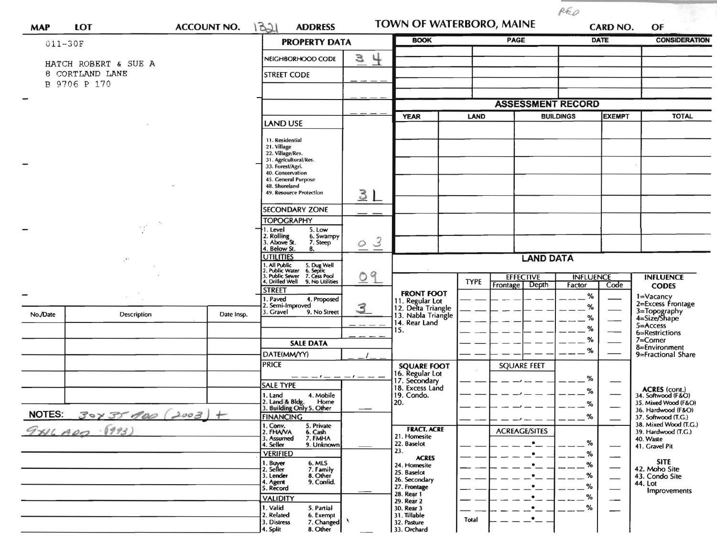| <b>MAP</b>    | <b>LOT</b><br><b>ACCOUNT NO.</b> |            | 1321<br><b>ADDRESS</b>                                                                                                    |                          | TOWN OF WATERBORO, MAINE              |             |                              | RED<br><b>CARD NO.</b> |               | OF                                                                       |  |
|---------------|----------------------------------|------------|---------------------------------------------------------------------------------------------------------------------------|--------------------------|---------------------------------------|-------------|------------------------------|------------------------|---------------|--------------------------------------------------------------------------|--|
| 011-30F       |                                  |            | <b>PROPERTY DATA</b>                                                                                                      |                          | <b>BOOK</b>                           |             | <b>PAGE</b>                  |                        | <b>DATE</b>   |                                                                          |  |
|               | HATCH ROBERT & SUE A             |            | NEIGHBORHOOD CODE                                                                                                         | $\frac{1}{2}$<br>3       |                                       |             |                              |                        |               |                                                                          |  |
|               | 8 CORTLAND LANE                  |            | <b>STREET CODE</b>                                                                                                        |                          |                                       |             |                              |                        |               | <b>CONSIDERATION</b><br><b>TOTAL</b><br><b>INFLUENCE</b><br><b>CODES</b> |  |
|               | B 9706 P 170                     |            |                                                                                                                           |                          |                                       |             |                              |                        |               |                                                                          |  |
| -             |                                  |            |                                                                                                                           |                          |                                       |             | <b>ASSESSMENT RECORD</b>     |                        |               |                                                                          |  |
|               |                                  |            |                                                                                                                           |                          | <b>YEAR</b>                           | <b>LAND</b> |                              | <b>BUILDINGS</b>       | <b>EXEMPT</b> |                                                                          |  |
|               |                                  |            | <b>LAND USE</b>                                                                                                           |                          |                                       |             |                              |                        |               |                                                                          |  |
|               |                                  |            | 11. Residential<br>21. Village                                                                                            |                          |                                       |             |                              |                        |               |                                                                          |  |
|               |                                  |            | 22. Village/Res.<br>31. Agricultural/Res.                                                                                 |                          |                                       |             |                              |                        |               |                                                                          |  |
|               |                                  |            | 33. Forest/Agri.<br>40. Conservation                                                                                      |                          |                                       |             |                              |                        |               |                                                                          |  |
|               |                                  |            | 45. General Purpose<br>48. Shoreland                                                                                      |                          |                                       |             |                              |                        |               |                                                                          |  |
|               |                                  |            | 49. Resource Protection                                                                                                   | 3 <sub>L</sub>           |                                       |             |                              |                        |               |                                                                          |  |
|               |                                  |            | <b>SECONDARY ZONE</b>                                                                                                     |                          |                                       |             |                              |                        |               |                                                                          |  |
|               | $\sim$ $\gamma^*$                |            | <b>TOPOGRAPHY</b>                                                                                                         |                          |                                       |             |                              |                        |               |                                                                          |  |
|               |                                  |            | 1. Level<br>5. Low<br>2. Rolling<br>3. Above St.<br>6. Swampy<br>7. Steep                                                 | $\mathcal{Z}$<br>$\circ$ |                                       |             |                              |                        |               |                                                                          |  |
|               |                                  |            | 4. Below St.<br>8.<br><b>UTILITIES</b>                                                                                    |                          |                                       |             |                              |                        |               |                                                                          |  |
|               |                                  |            |                                                                                                                           |                          | <b>LAND DATA</b>                      |             |                              |                        |               |                                                                          |  |
|               |                                  |            | 1. All Public 5. Dug Well<br>2. Public Water 6. Septic<br>3. Public Sewer 7. Cess Pool<br>4. Drilled Well 9. No Utilities | 09                       |                                       | <b>TYPE</b> | <b>EFFECTIVE</b><br>Frontage | <b>INFLUENCE</b>       |               |                                                                          |  |
|               |                                  |            | <b>STREET</b>                                                                                                             |                          | <b>FRONT FOOT</b>                     |             | Depth                        | Factor<br>%            | Code          |                                                                          |  |
|               |                                  |            | 1. Paved<br>4. Proposed<br>2. Semi-Improved                                                                               | 3                        | 11. Regular Lot<br>12. Delta Triangle |             |                              | %                      |               | 1=Vacancy<br>2=Excess Frontage                                           |  |
| No./Date      | Description                      | Date Insp. | 9. No Street<br>3. Gravel                                                                                                 |                          | 13. Nabla Triangle<br>14. Rear Land   |             |                              | %                      |               | 3=Topography<br>4=Size/Shape                                             |  |
|               |                                  |            |                                                                                                                           |                          | 15.                                   |             |                              | %                      |               | 5=Access<br>6=Restrictions                                               |  |
|               |                                  |            | <b>SALE DATA</b>                                                                                                          |                          |                                       |             |                              | %<br>%                 |               | 7=Corner<br>8=Environment                                                |  |
|               |                                  |            | DATE(MM/YY)<br><b>PRICE</b>                                                                                               |                          |                                       |             |                              |                        |               | 9=Fractional Share                                                       |  |
|               |                                  |            |                                                                                                                           | $-1-$                    | <b>SQUARE FOOT</b><br>16. Regular Lot |             | <b>SQUARE FEET</b>           |                        |               |                                                                          |  |
|               |                                  |            | <b>SALE TYPE</b>                                                                                                          |                          | 17. Secondary<br>18. Excess Land      |             |                              | %<br>$\%$              |               | <b>ACRES</b> (cont.)                                                     |  |
|               |                                  |            | 1. Land<br>4. Mobile<br>2. Land & Bldg. Home<br>3. Building Only 5. Other<br>Home                                         |                          | 19. Condo.<br>20.                     |             |                              | %                      |               | 34. Softwood (F&O)<br>35. Mixed Wood (F&O)                               |  |
| <b>NOTES:</b> | $30437900(2003) +$               |            | <b>FINANCING</b>                                                                                                          |                          |                                       |             |                              | $-$ %                  |               | 36. Hardwood (F&O)<br>37. Softwood (T.G.)                                |  |
|               |                                  |            | 1. Conv.<br>5. Private<br>2. FHAVA                                                                                        |                          | <b>FRACT. ACRE</b>                    |             | <b>ACREAGE/SITES</b>         |                        |               | 38. Mixed Wood (T.G.)<br>39. Hardwood (T.G.)                             |  |
|               |                                  |            | 6. Cash<br>7. FMHA<br>3. Assumed<br>4. Seller<br>9. Unknown                                                               |                          | 21. Homesite<br>22. Baselot           |             |                              | %                      |               | 40. Waste                                                                |  |
|               |                                  |            | <b>VERIFIED</b>                                                                                                           |                          | 23.                                   |             |                              | %                      |               | 41. Gravel Pit                                                           |  |
|               |                                  |            | 1. Buyer<br>2. Seller<br>6. MLS                                                                                           |                          | <b>ACRES</b><br>24. Homesite          |             |                              | %                      |               | <b>SITE</b><br>42. Moho Site                                             |  |
|               |                                  |            | 7. Family<br>8. Other<br>3. Lender<br>9. Confid.<br>4. Agent                                                              |                          | 25. Baselot<br>26. Secondary          |             |                              | %                      |               | 43. Condo Site<br>44. Lot                                                |  |
|               |                                  |            | 5. Record                                                                                                                 |                          | 27. Frontage<br>28. Rear 1            |             |                              | %<br>%                 |               | Improvements                                                             |  |
|               |                                  |            | <b>VALIDITY</b><br>1. Valid<br>5. Partial                                                                                 |                          | 29. Rear 2<br>30. Rear 3              |             |                              | %                      | --            |                                                                          |  |
|               |                                  |            | 2. Related<br>6. Exempt<br>7. Changed<br>3. Distress                                                                      |                          | 31. Tillable<br>32. Pasture           | Total       |                              |                        |               |                                                                          |  |
|               |                                  |            | 4. Split<br>8. Other                                                                                                      |                          | 33. Orchard                           |             |                              |                        |               |                                                                          |  |